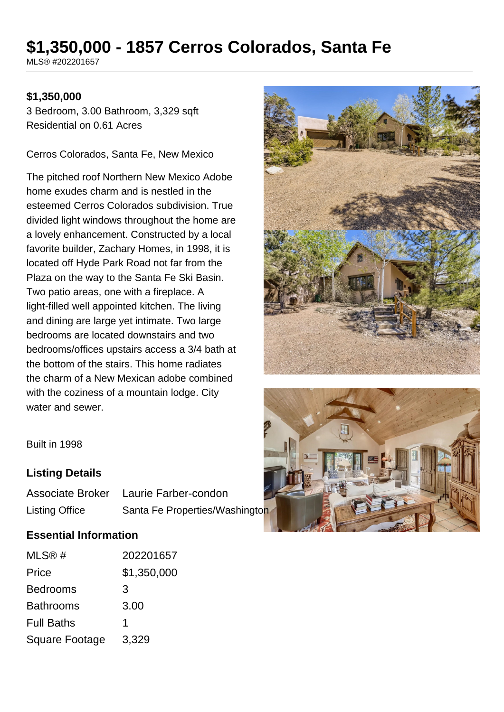# **\$1,350,000 - 1857 Cerros Colorados, Santa Fe**

MLS® #202201657

#### **\$1,350,000**

3 Bedroom, 3.00 Bathroom, 3,329 sqft Residential on 0.61 Acres

Cerros Colorados, Santa Fe, New Mexico

The pitched roof Northern New Mexico Adobe home exudes charm and is nestled in the esteemed Cerros Colorados subdivision. True divided light windows throughout the home are a lovely enhancement. Constructed by a local favorite builder, Zachary Homes, in 1998, it is located off Hyde Park Road not far from the Plaza on the way to the Santa Fe Ski Basin. Two patio areas, one with a fireplace. A light-filled well appointed kitchen. The living and dining are large yet intimate. Two large bedrooms are located downstairs and two bedrooms/offices upstairs access a 3/4 bath at the bottom of the stairs. This home radiates the charm of a New Mexican adobe combined with the coziness of a mountain lodge. City water and sewer.





Built in 1998

#### **Listing Details**

| <b>Associate Broker</b> | Laurie Farber-condon           |  |
|-------------------------|--------------------------------|--|
| <b>Listing Office</b>   | Santa Fe Properties/Washington |  |

#### **Essential Information**

| MLS@#                 | 202201657   |
|-----------------------|-------------|
| Price                 | \$1,350,000 |
| <b>Bedrooms</b>       | 3           |
| <b>Bathrooms</b>      | 3.00        |
| <b>Full Baths</b>     | 1           |
| <b>Square Footage</b> | 3,329       |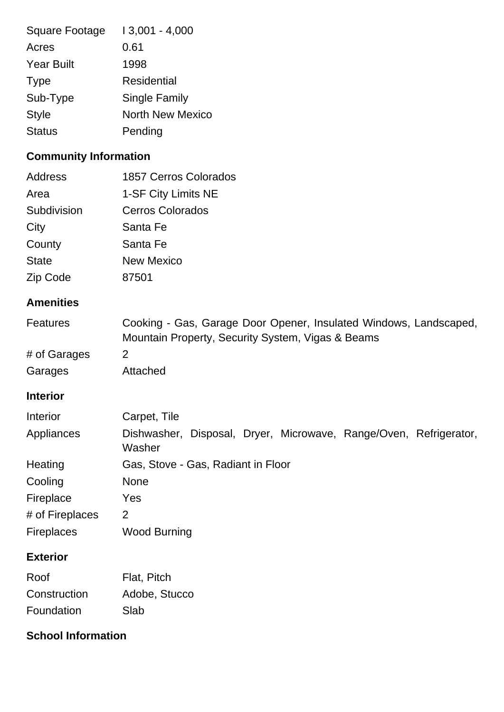| <b>Square Footage</b> | $13,001 - 4,000$ |
|-----------------------|------------------|
| Acres                 | 0.61             |
| <b>Year Built</b>     | 1998             |
| <b>Type</b>           | Residential      |
| Sub-Type              | Single Family    |
| <b>Style</b>          | North New Mexico |
| <b>Status</b>         | Pending          |

## **Community Information**

| <b>Address</b>    | <b>1857 Cerros Colorados</b>                                                                                           |  |
|-------------------|------------------------------------------------------------------------------------------------------------------------|--|
| Area              | 1-SF City Limits NE                                                                                                    |  |
| Subdivision       | <b>Cerros Colorados</b>                                                                                                |  |
| City              | Santa Fe                                                                                                               |  |
| County            | Santa Fe                                                                                                               |  |
| <b>State</b>      | <b>New Mexico</b>                                                                                                      |  |
| Zip Code          | 87501                                                                                                                  |  |
| <b>Amenities</b>  |                                                                                                                        |  |
| <b>Features</b>   | Cooking - Gas, Garage Door Opener, Insulated Windows, Landscaped,<br>Mountain Property, Security System, Vigas & Beams |  |
| # of Garages      | $\overline{2}$                                                                                                         |  |
| Garages           | Attached                                                                                                               |  |
| <b>Interior</b>   |                                                                                                                        |  |
| Interior          | Carpet, Tile                                                                                                           |  |
| Appliances        | Dishwasher, Disposal, Dryer, Microwave, Range/Oven, Refrigerator,<br>Washer                                            |  |
| Heating           | Gas, Stove - Gas, Radiant in Floor                                                                                     |  |
| Cooling           | <b>None</b>                                                                                                            |  |
| Fireplace         | Yes                                                                                                                    |  |
| # of Fireplaces   | $\overline{2}$                                                                                                         |  |
| <b>Fireplaces</b> | <b>Wood Burning</b>                                                                                                    |  |
| <b>Exterior</b>   |                                                                                                                        |  |
| Roof              | Flat, Pitch                                                                                                            |  |
| Construction      | Adobe, Stucco                                                                                                          |  |
| Foundation        | Slab                                                                                                                   |  |

### **School Information**